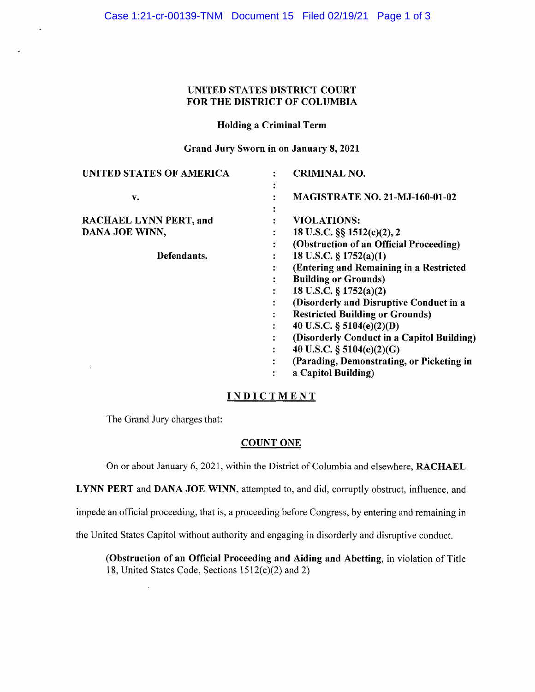## UNITED STATES DISTRICT COURT FOR THE DISTRICT OF COLUMBIA

### Holding a Criminal Term

Grand Jury Sworn in on January 8, 2021

| <b>UNITED STATES OF AMERICA</b> | <b>CRIMINAL NO.</b>                        |
|---------------------------------|--------------------------------------------|
| v.                              | <b>MAGISTRATE NO. 21-MJ-160-01-02</b>      |
| <b>RACHAEL LYNN PERT, and</b>   | <b>VIOLATIONS:</b>                         |
| DANA JOE WINN,                  | 18 U.S.C. §§ 1512(c)(2), 2                 |
|                                 | (Obstruction of an Official Proceeding)    |
| Defendants.                     | 18 U.S.C. $\S 1752(a)(1)$                  |
|                                 | (Entering and Remaining in a Restricted    |
|                                 | <b>Building or Grounds)</b>                |
|                                 | 18 U.S.C. § 1752(a)(2)                     |
|                                 | (Disorderly and Disruptive Conduct in a    |
|                                 | <b>Restricted Building or Grounds)</b>     |
|                                 | 40 U.S.C. $\S$ 5104(e)(2)(D)               |
|                                 | (Disorderly Conduct in a Capitol Building) |
|                                 | 40 U.S.C. $\S$ 5104(e)(2)(G)               |
|                                 | (Parading, Demonstrating, or Picketing in  |
|                                 | a Capitol Building)                        |

## **INDICTMENT**

The Grand Jury charges that:

 $\ddot{\phantom{a}}$ 

# **COUNT ONE**

On or about January 6, 2021, within the District of Columbia and elsewhere, **RACHAEL** 

**LYNN PERT** and **DANA JOE WINN,** attempted to, and did, corruptly obstruct, influence, and

impede an official proceeding, that is, a proceeding before Congress, by entering and remaining in

the United States Capitol without authority and engaging in disorderly and disruptive conduct.

**(Obstruction of an Official Proceeding and Aiding and Abetting,** in violation of Title 18, United States Code, Sections  $1512(c)(2)$  and 2)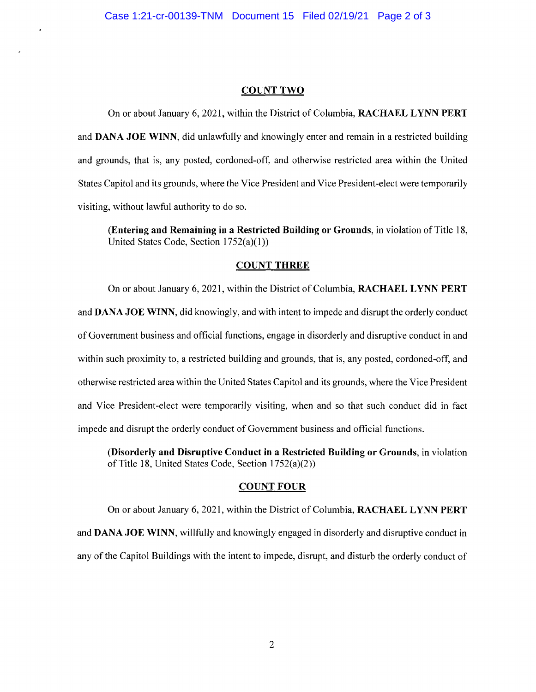$\bullet$ 

#### **COUNT TWO**

On or about January 6, 2021, within the District of Columbia, **RACHAEL LYNN PERT**  and **DANA JOE WINN,** did unlawfully and knowingly enter and remain in a restricted building and grounds, that is, any posted, cordoned-off, and otherwise restricted area within the United States Capitol and its grounds, where the Vice President and Vice President-elect were temporarily visiting, without lawful authority to do so.

**(Entering and Remaining in a Restricted Building or Grounds,** in violation of Title 18, United States Code, Section  $1752(a)(1)$ )

#### **COUNT THREE**

On or about January 6, 2021, within the District of Columbia, **RACHAEL LYNN PERT**  and **DANA JOE WINN,** did knowingly, and with intent to impede and disrupt the orderly conduct of Government business and official functions, engage in disorderly and disruptive conduct in and within such proximity to, a restricted building and grounds, that is, any posted, cordoned-off, and otherwise restricted area within the United States Capitol and its grounds, where the Vice President and Vice President-elect were temporarily visiting, when and so that such conduct did in fact impede and disrupt the orderly conduct of Government business and official functions.

**(Disorderly and Disruptive Conduct in a Restricted Building or Grounds,** in violation of Title 18, United States Code, Section 1752(a)(2))

### **COUNT FOUR**

On or about January 6, 2021, within the District of Columbia, **RACHAEL LYNN PERT**  and **DANA JOE WINN,** willfully and knowingly engaged in disorderly and disruptive conduct in any of the Capitol Buildings with the intent to impede, disrupt, and disturb the orderly conduct of